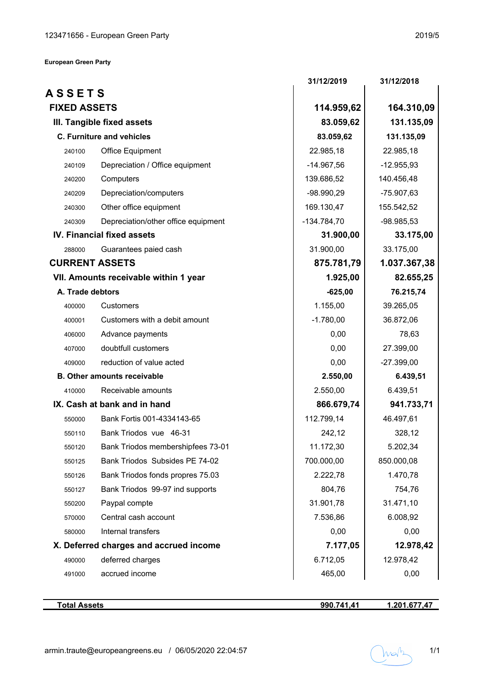|                     |                                         | 31/12/2019    | 31/12/2018   |
|---------------------|-----------------------------------------|---------------|--------------|
| <b>ASSETS</b>       |                                         |               |              |
| <b>FIXED ASSETS</b> |                                         | 114.959,62    | 164.310,09   |
|                     | 83.059,62<br>III. Tangible fixed assets |               | 131.135,09   |
|                     | <b>C. Furniture and vehicles</b>        | 83.059,62     | 131.135,09   |
| 240100              | Office Equipment                        | 22.985,18     | 22.985,18    |
| 240109              | Depreciation / Office equipment         | $-14.967,56$  | $-12.955,93$ |
| 240200              | Computers                               | 139.686,52    | 140.456,48   |
| 240209              | Depreciation/computers                  | $-98.990,29$  | $-75.907,63$ |
| 240300              | Other office equipment                  | 169.130,47    | 155.542,52   |
| 240309              | Depreciation/other office equipment     | $-134.784,70$ | $-98.985,53$ |
|                     | <b>IV. Financial fixed assets</b>       | 31.900,00     | 33.175,00    |
| 288000              | Guarantees paied cash                   | 31.900,00     | 33.175,00    |
|                     | <b>CURRENT ASSETS</b>                   | 875.781,79    | 1.037.367,38 |
|                     | VII. Amounts receivable within 1 year   | 1.925,00      | 82.655,25    |
| A. Trade debtors    |                                         | $-625,00$     | 76.215,74    |
| 400000              | Customers                               | 1.155,00      | 39.265,05    |
| 400001              | Customers with a debit amount           | $-1.780,00$   | 36.872,06    |
| 406000              | Advance payments                        | 0,00          | 78,63        |
| 407000              | doubtfull customers                     | 0,00          | 27.399,00    |
| 409000              | reduction of value acted                | 0,00          | $-27.399,00$ |
|                     | <b>B. Other amounts receivable</b>      | 2.550,00      | 6.439,51     |
| 410000              | Receivable amounts                      | 2.550,00      | 6.439,51     |
|                     | IX. Cash at bank and in hand            | 866.679,74    | 941.733,71   |
| 550000              | Bank Fortis 001-4334143-65              | 112.799,14    | 46.497,61    |
| 550110              | Bank Triodos vue 46-31                  | 242,12        | 328,12       |
| 550120              | Bank Triodos membershipfees 73-01       | 11.172,30     | 5.202,34     |
| 550125              | Bank Triodos Subsides PE 74-02          | 700.000,00    | 850.000,08   |
| 550126              | Bank Triodos fonds propres 75.03        | 2.222,78      | 1.470,78     |
| 550127              | Bank Triodos 99-97 ind supports         | 804,76        | 754,76       |
| 550200              | Paypal compte                           | 31.901,78     | 31.471,10    |
| 570000              | Central cash account                    | 7.536,86      | 6.008,92     |
| 580000              | Internal transfers                      | 0,00          | 0,00         |
|                     | X. Deferred charges and accrued income  | 7.177,05      | 12.978,42    |
| 490000              | deferred charges                        | 6.712,05      | 12.978,42    |
| 491000              | accrued income                          | 465,00        | 0,00         |

**990.741,41 1.201.677,47**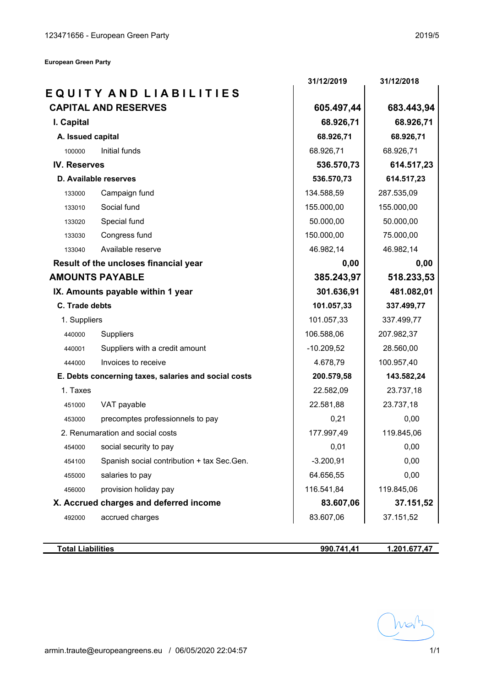**European Green Party**

|                     |                                                      | 31/12/2019   | 31/12/2018 |
|---------------------|------------------------------------------------------|--------------|------------|
|                     | EQUITY AND LIABILITIES                               |              |            |
|                     | <b>CAPITAL AND RESERVES</b>                          | 605.497,44   | 683.443,94 |
| I. Capital          |                                                      | 68.926,71    | 68.926,71  |
| A. Issued capital   |                                                      | 68.926,71    | 68.926,71  |
| 100000              | Initial funds                                        | 68.926,71    | 68.926,71  |
| <b>IV. Reserves</b> |                                                      | 536.570,73   | 614.517,23 |
|                     | D. Available reserves                                | 536.570,73   | 614.517,23 |
| 133000              | Campaign fund                                        | 134.588,59   | 287.535,09 |
| 133010              | Social fund                                          | 155.000,00   | 155.000,00 |
| 133020              | Special fund                                         | 50.000,00    | 50.000,00  |
| 133030              | Congress fund                                        | 150.000,00   | 75.000,00  |
| 133040              | Available reserve                                    | 46.982,14    | 46.982,14  |
|                     | Result of the uncloses financial year                | 0,00         | 0,00       |
|                     | <b>AMOUNTS PAYABLE</b>                               | 385.243,97   | 518.233,53 |
|                     | IX. Amounts payable within 1 year                    | 301.636,91   | 481.082,01 |
| C. Trade debts      |                                                      | 101.057,33   | 337.499,77 |
| 1. Suppliers        |                                                      | 101.057,33   | 337.499,77 |
| 440000              | Suppliers                                            | 106.588,06   | 207.982,37 |
| 440001              | Suppliers with a credit amount                       | $-10.209,52$ | 28.560,00  |
| 444000              | Invoices to receive                                  | 4.678,79     | 100.957,40 |
|                     | E. Debts concerning taxes, salaries and social costs | 200.579,58   | 143.582,24 |
| 1. Taxes            |                                                      | 22.582,09    | 23.737,18  |
| 451000              | VAT payable                                          | 22.581,88    | 23.737,18  |
| 453000              | precomptes professionnels to pay                     | 0,21         | 0,00       |
|                     | 2. Renumaration and social costs                     | 177.997,49   | 119.845,06 |
| 454000              | social security to pay                               | 0,01         | 0,00       |
| 454100              | Spanish social contribution + tax Sec.Gen.           | $-3.200,91$  | 0,00       |
| 455000              | salaries to pay                                      | 64.656,55    | 0,00       |
| 456000              | provision holiday pay                                | 116.541,84   | 119.845,06 |
|                     | X. Accrued charges and deferred income               | 83.607,06    | 37.151,52  |
| 492000              | accrued charges                                      | 83.607,06    | 37.151,52  |

**Total Liabilities**

**990.741,41 1.201.677,47**

hran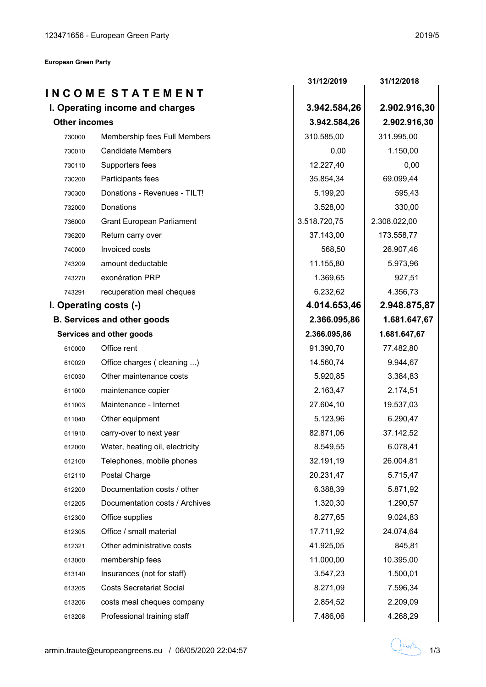**European Green Party**

|                      |                                    | 31/12/2019   | 31/12/2018   |
|----------------------|------------------------------------|--------------|--------------|
|                      | INCOME STATEMENT                   |              |              |
|                      | I. Operating income and charges    | 3.942.584,26 | 2.902.916,30 |
| <b>Other incomes</b> |                                    | 3.942.584,26 | 2.902.916,30 |
| 730000               | Membership fees Full Members       | 310.585,00   | 311.995,00   |
| 730010               | <b>Candidate Members</b>           | 0,00         | 1.150,00     |
| 730110               | Supporters fees                    | 12.227,40    | 0,00         |
| 730200               | Participants fees                  | 35.854,34    | 69.099,44    |
| 730300               | Donations - Revenues - TILT!       | 5.199,20     | 595,43       |
| 732000               | Donations                          | 3.528,00     | 330,00       |
| 736000               | <b>Grant European Parliament</b>   | 3.518.720,75 | 2.308.022,00 |
| 736200               | Return carry over                  | 37.143,00    | 173.558,77   |
| 740000               | Invoiced costs                     | 568,50       | 26.907,46    |
| 743209               | amount deductable                  | 11.155,80    | 5.973,96     |
| 743270               | exonération PRP                    | 1.369,65     | 927,51       |
| 743291               | recuperation meal cheques          | 6.232,62     | 4.356,73     |
|                      | I. Operating costs (-)             | 4.014.653,46 | 2.948.875,87 |
|                      | <b>B. Services and other goods</b> | 2.366.095,86 | 1.681.647,67 |
|                      | Services and other goods           | 2.366.095,86 | 1.681.647,67 |
| 610000               | Office rent                        | 91.390,70    | 77.482,80    |
| 610020               | Office charges ( cleaning )        | 14.560,74    | 9.944,67     |
| 610030               | Other maintenance costs            | 5.920,85     | 3.384,83     |
| 611000               | maintenance copier                 | 2.163,47     | 2.174,51     |
| 611003               | Maintenance - Internet             | 27.604,10    | 19.537,03    |
| 611040               | Other equipment                    | 5.123,96     | 6.290,47     |
| 611910               | carry-over to next year            | 82.871,06    | 37.142,52    |
| 612000               | Water, heating oil, electricity    | 8.549,55     | 6.078,41     |
| 612100               | Telephones, mobile phones          | 32.191,19    | 26.004,81    |
| 612110               | Postal Charge                      | 20.231,47    | 5.715,47     |
| 612200               | Documentation costs / other        | 6.388,39     | 5.871,92     |
| 612205               | Documentation costs / Archives     | 1.320,30     | 1.290,57     |
| 612300               | Office supplies                    | 8.277,65     | 9.024,83     |
| 612305               | Office / small material            | 17.711,92    | 24.074,64    |
| 612321               | Other administrative costs         | 41.925,05    | 845,81       |
| 613000               | membership fees                    | 11.000,00    | 10.395,00    |
| 613140               | Insurances (not for staff)         | 3.547,23     | 1.500,01     |
| 613205               | <b>Costs Secretariat Social</b>    | 8.271,09     | 7.596,34     |
| 613206               | costs meal cheques company         | 2.854,52     | 2.209,09     |
| 613208               | Professional training staff        | 7.486,06     | 4.268,29     |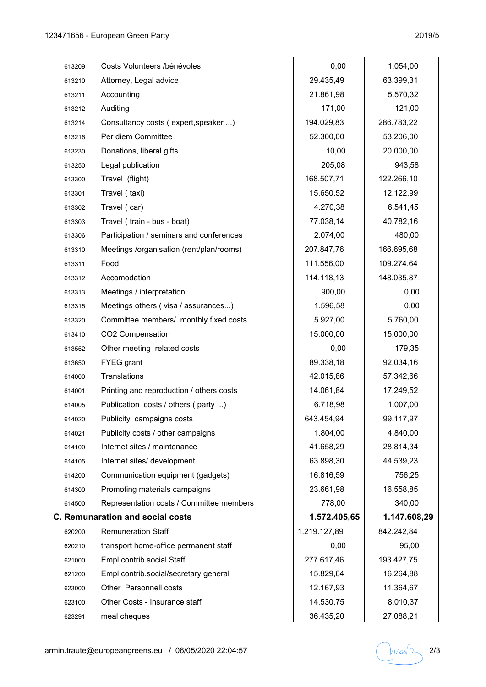| 613209 | Costs Volunteers /bénévoles              | 0,00         | 1.054,00     |
|--------|------------------------------------------|--------------|--------------|
| 613210 | Attorney, Legal advice                   | 29.435,49    | 63.399,31    |
| 613211 | Accounting                               | 21.861,98    | 5.570,32     |
| 613212 | Auditing                                 | 171,00       | 121,00       |
| 613214 | Consultancy costs (expert, speaker )     | 194.029,83   | 286.783,22   |
| 613216 | Per diem Committee                       | 52.300,00    | 53.206,00    |
| 613230 | Donations, liberal gifts                 | 10,00        | 20.000,00    |
| 613250 | Legal publication                        | 205,08       | 943,58       |
| 613300 | Travel (flight)                          | 168.507,71   | 122.266,10   |
| 613301 | Travel (taxi)                            | 15.650,52    | 12.122,99    |
| 613302 | Travel (car)                             | 4.270,38     | 6.541,45     |
| 613303 | Travel (train - bus - boat)              | 77.038,14    | 40.782,16    |
| 613306 | Participation / seminars and conferences | 2.074,00     | 480,00       |
| 613310 | Meetings /organisation (rent/plan/rooms) | 207.847,76   | 166.695,68   |
| 613311 | Food                                     | 111.556,00   | 109.274,64   |
| 613312 | Accomodation                             | 114.118,13   | 148.035,87   |
| 613313 | Meetings / interpretation                | 900,00       | 0,00         |
| 613315 | Meetings others (visa / assurances)      | 1.596,58     | 0,00         |
| 613320 | Committee members/ monthly fixed costs   | 5.927,00     | 5.760,00     |
| 613410 | CO2 Compensation                         | 15.000,00    | 15.000,00    |
| 613552 | Other meeting related costs              | 0,00         | 179,35       |
| 613650 | <b>FYEG</b> grant                        | 89.338,18    | 92.034,16    |
| 614000 | <b>Translations</b>                      | 42.015,86    | 57.342,66    |
| 614001 | Printing and reproduction / others costs | 14.061,84    | 17.249,52    |
| 614005 | Publication costs / others (party )      | 6.718,98     | 1.007,00     |
| 614020 | Publicity campaigns costs                | 643.454,94   | 99.117,97    |
| 614021 | Publicity costs / other campaigns        | 1.804,00     | 4.840,00     |
| 614100 | Internet sites / maintenance             | 41.658,29    | 28.814,34    |
| 614105 | Internet sites/ development              | 63.898,30    | 44.539,23    |
| 614200 | Communication equipment (gadgets)        | 16.816,59    | 756,25       |
| 614300 | Promoting materials campaigns            | 23.661,98    | 16.558,85    |
| 614500 | Representation costs / Committee members | 778,00       | 340,00       |
|        | <b>C. Remunaration and social costs</b>  | 1.572.405,65 | 1.147.608,29 |
| 620200 | <b>Remuneration Staff</b>                | 1.219.127,89 | 842.242,84   |
| 620210 | transport home-office permanent staff    | 0,00         | 95,00        |
| 621000 | Empl.contrib.social Staff                | 277.617,46   | 193.427,75   |
| 621200 | Empl.contrib.social/secretary general    | 15.829,64    | 16.264,88    |
| 623000 | Other Personnell costs                   | 12.167,93    | 11.364,67    |
| 623100 | Other Costs - Insurance staff            | 14.530,75    | 8.010,37     |
| 623291 | meal cheques                             | 36.435,20    | 27.088,21    |